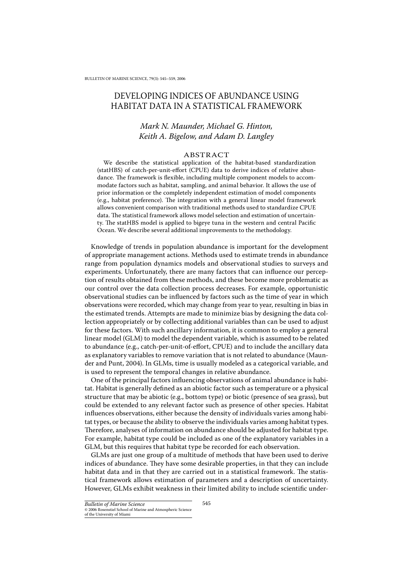# DEVELOPING INDICES OF ABUNDANCE USING HABITAT DATA IN A STATISTICAL FRAMEWORK

# Mark N. Maunder, Michael G. Hinton, Keith A. Bigelow, and Adam D. Langley

## ABSTRACT

We describe the statistical application of the habitat-based standardization (statHBS) of catch-per-unit-effort (CPUE) data to derive indices of relative abundance. The framework is flexible, including multiple component models to accommodate factors such as habitat, sampling, and animal behavior. It allows the use of prior information or the completely independent estimation of model components (e.g., habitat preference). The integration with a general linear model framework allows convenient comparison with traditional methods used to standardize CPUE data. The statistical framework allows model selection and estimation of uncertainty. The statHBS model is applied to bigeve tuna in the western and central Pacific Ocean. We describe several additional improvements to the methodology.

Knowledge of trends in population abundance is important for the development of appropriate management actions. Methods used to estimate trends in abundance range from population dynamics models and observational studies to surveys and experiments. Unfortunately, there are many factors that can influence our perception of results obtained from these methods, and these become more problematic as our control over the data collection process decreases. For example, opportunistic observational studies can be influenced by factors such as the time of year in which observations were recorded, which may change from year to year, resulting in bias in the estimated trends. Attempts are made to minimize bias by designing the data collection appropriately or by collecting additional variables than can be used to adjust for these factors. With such ancillary information, it is common to employ a general linear model (GLM) to model the dependent variable, which is assumed to be related to abundance (e.g., catch-per-unit-of-effort, CPUE) and to include the ancillary data as explanatory variables to remove variation that is not related to abundance (Maunder and Punt, 2004). In GLMs, time is usually modeled as a categorical variable, and is used to represent the temporal changes in relative abundance.

One of the principal factors influencing observations of animal abundance is habitat. Habitat is generally defined as an abiotic factor such as temperature or a physical structure that may be abiotic (e.g., bottom type) or biotic (presence of sea grass), but could be extended to any relevant factor such as presence of other species. Habitat influences observations, either because the density of individuals varies among habitat types, or because the ability to observe the individuals varies among habitat types. Therefore, analyses of information on abundance should be adjusted for habitat type. For example, habitat type could be included as one of the explanatory variables in a GLM, but this requires that habitat type be recorded for each observation.

GLMs are just one group of a multitude of methods that have been used to derive indices of abundance. They have some desirable properties, in that they can include habitat data and in that they are carried out in a statistical framework. The statistical framework allows estimation of parameters and a description of uncertainty. However, GLMs exhibit weakness in their limited ability to include scientific under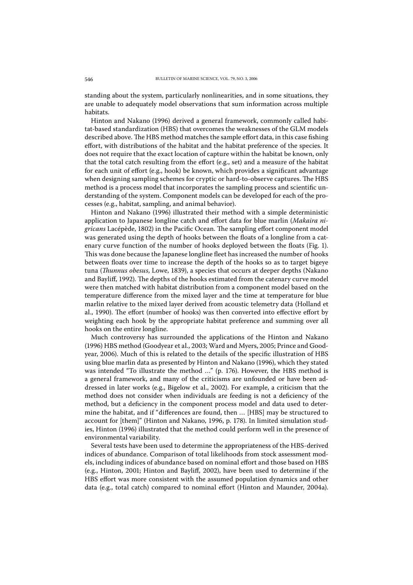standing about the system, particularly nonlinearities, and in some situations, they are unable to adequately model observations that sum information across multiple habitats.

Hinton and Nakano (1996) derived a general framework, commonly called habitat-based standardization (HBS) that overcomes the weaknesses of the GLM models described above. The HBS method matches the sample effort data, in this case fishing effort, with distributions of the habitat and the habitat preference of the species. It does not require that the exact location of capture within the habitat be known, only that the total catch resulting from the effort (e.g., set) and a measure of the habitat for each unit of effort (e.g., hook) be known, which provides a significant advantage when designing sampling schemes for cryptic or hard-to-observe captures. The HBS method is a process model that incorporates the sampling process and scientific understanding of the system. Component models can be developed for each of the processes (e.g., habitat, sampling, and animal behavior).

Hinton and Nakano (1996) illustrated their method with a simple deterministic application to Japanese longline catch and effort data for blue marlin (Makaira nigricans Lacépède, 1802) in the Pacific Ocean. The sampling effort component model was generated using the depth of hooks between the floats of a longline from a catenary curve function of the number of hooks deployed between the floats (Fig. 1). This was done because the Japanese longline fleet has increased the number of hooks between floats over time to increase the depth of the hooks so as to target bigeye tuna (*Thunnus obesus*, Lowe, 1839), a species that occurs at deeper depths (Nakano and Bayliff, 1992). The depths of the hooks estimated from the catenary curve model were then matched with habitat distribution from a component model based on the temperature difference from the mixed layer and the time at temperature for blue marlin relative to the mixed layer derived from acoustic telemetry data (Holland et al., 1990). The effort (number of hooks) was then converted into effective effort by weighting each hook by the appropriate habitat preference and summing over all hooks on the entire longline.

Much controversy has surrounded the applications of the Hinton and Nakano (1996) HBS method (Goodyear et al., 2003; Ward and Myers, 2005; Prince and Goodyear, 2006). Much of this is related to the details of the specific illustration of HBS .<br>using blue marlin data as presented by Hinton and Nakano (1996), which they stated was intended "To illustrate the method ..." (p. 176). However, the HBS method is a general framework, and many of the criticisms are unfounded or have been addressed in later works (e.g., Bigelow et al., 2002). For example, a criticism that the method does not consider when individuals are feeding is not a deficiency of the method, but a deficiency in the component process model and data used to determine the habitat, and if "differences are found, then ... [HBS] may be structured to account for [them]" (Hinton and Nakano, 1996, p. 178). In limited simulation studies, Hinton (1996) illustrated that the method could perform well in the presence of environmental variability.

Several tests have been used to determine the appropriateness of the HBS-derived indices of abundance. Comparison of total likelihoods from stock assessment models, including indices of abundance based on nominal effort and those based on HBS (e.g., Hinton, 2001; Hinton and Bayliff, 2002), have been used to determine if the HBS effort was more consistent with the assumed population dynamics and other data (e.g., total catch) compared to nominal effort (Hinton and Maunder, 2004a).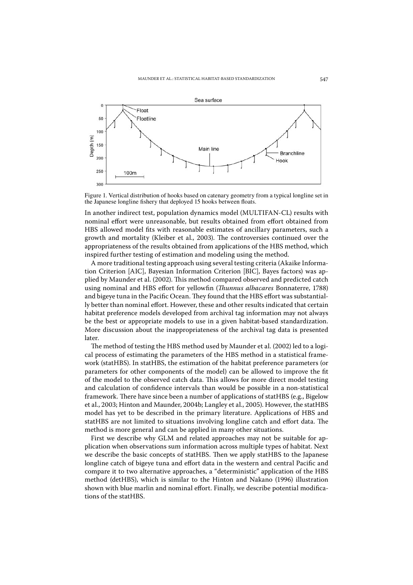

Figure 1. Vertical distribution of hooks based on catenary geometry from a typical longline set in the Japanese longline fishery that deployed 15 hooks between floats.

In another indirect test, population dynamics model (MULTIFAN-CL) results with nominal effort were unreasonable, but results obtained from effort obtained from HBS allowed model fits with reasonable estimates of ancillary parameters, such a growth and mortality (Kleiber et al., 2003). The controversies continued over the appropriateness of the results obtained from applications of the HBS method, which inspired further testing of estimation and modeling using the method.

A more traditional testing approach using several testing criteria (Akaike Information Criterion [AIC], Bayesian Information Criterion [BIC], Bayes factors) was applied by Maunder et al. (2002). This method compared observed and predicted catch using nominal and HBS effort for yellowfin (Thunnus albacares Bonnaterre, 1788) and bigeye tuna in the Pacific Ocean. They found that the HBS effort was substantially better than nominal effort. However, these and other results indicated that certain habitat preference models developed from archival tag information may not always be the best or appropriate models to use in a given habitat-based standardization. More discussion about the inappropriateness of the archival tag data is presented later.

The method of testing the HBS method used by Maunder et al. (2002) led to a logical process of estimating the parameters of the HBS method in a statistical framework (statHBS). In statHBS, the estimation of the habitat preference parameters (or parameters for other components of the model) can be allowed to improve the fit of the model to the observed catch data. This allows for more direct model testing and calculation of confidence intervals than would be possible in a non-statistical framework. There have since been a number of applications of statHBS (e.g., Bigelow et al., 2003; Hinton and Maunder, 2004b; Langley et al., 2005). However, the statHBS model has yet to be described in the primary literature. Applications of HBS and statHBS are not limited to situations involving longline catch and effort data. The method is more general and can be applied in many other situations.

First we describe why GLM and related approaches may not be suitable for application when observations sum information across multiple types of habitat. Next we describe the basic concepts of statHBS. Then we apply statHBS to the Japanese longline catch of bigeve tuna and effort data in the western and central Pacific and compare it to two alternative approaches, a "deterministic" application of the HBS method (detHBS), which is similar to the Hinton and Nakano (1996) illustration shown with blue marlin and nominal effort. Finally, we describe potential modifications of the statHBS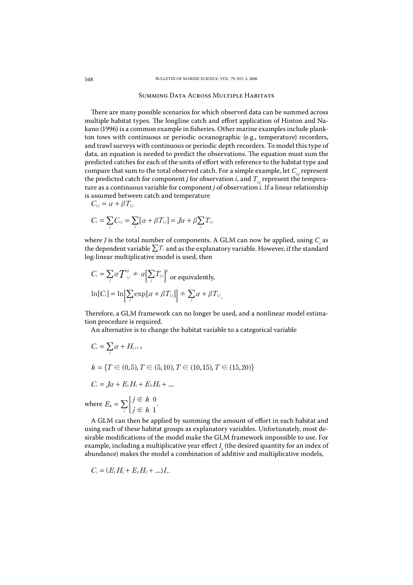## **SUMMING DATA ACROSS MULTIPLE HABITATS**

There are many possible scenarios for which observed data can be summed across multiple habitat types. The longline catch and effort application of Hinton and Nakano (1996) is a common example in fisheries. Other marine examples include plankton tows with continuous or periodic oceanographic (e.g., temperature) recorders, and trawl surveys with continuous or periodic depth recorders. To model this type of data, an equation is needed to predict the observations. The equation must sum the predicted catches for each of the units of effort with reference to the habitat type and compare that sum to the total observed catch. For a simple example, let  $C_{i,i}$  represent the predicted catch for component *j* for observation *i*, and  $T_i$  represent the temperature as a continuous variable for component  $j$  of observation  $i$ . If a linear relationship is assumed between catch and temperature

$$
C_{i,j} = \alpha + \beta T_{i,j}
$$

$$
C_i = \sum_j C_{i,j} = \sum_j [\alpha + \beta T_{i,j}] = J\alpha + \beta \sum_j T_{i,j}
$$

where  $J$  is the total number of components. A GLM can now be applied, using  $C_i$  as the dependent variable  $\sum T_i$  and as the explanatory variable. However, if the standard log-linear multiplicative model is used, then

$$
C_i = \sum_j \alpha T_{ij}^{\beta} \neq \alpha \Big[ \sum_j T_{ij} \Big]^{\beta} \text{ or equivalently,}
$$
  

$$
\ln[C_i] = \ln \Big[ \sum_j \exp[\alpha + \beta T_{ij}] \Big] \neq \sum_j \alpha + \beta T_{ij}
$$

Therefore, a GLM framework can no longer be used, and a nonlinear model estimation procedure is required.

An alternative is to change the habitat variable to a categorical variable

$$
C_i = \sum_j \alpha + H_{i,j \in h}
$$
  
\n
$$
h = \{T \in (0,5), T \in (5,10), T \in (10,15), T \in (15,20)\}
$$
  
\n
$$
C_i = J\alpha + E_1 H_1 + E_2 H_2 + \dots
$$
  
\nhere  $E_h = \sum_j \begin{cases} j \notin h & 0 \\ j \notin h & 1 \end{cases}$ 

A GLM can then be applied by summing the amount of effort in each habitat and using each of these habitat groups as explanatory variables. Unfortunately, most desirable modifications of the model make the GLM framework impossible to use. For example, including a multiplicative year effect  $I_{\nu}$  (the desired quantity for an index of abundance) makes the model a combination of additive and multiplicative models,

$$
C_i = (E_1H_1 + E_2H_2 + ... )I_{y}.
$$

W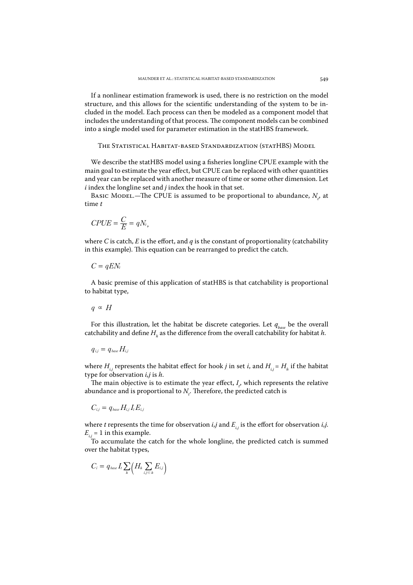If a nonlinear estimation framework is used, there is no restriction on the model structure, and this allows for the scientific understanding of the system to be included in the model. Each process can then be modeled as a component model that includes the understanding of that process. The component models can be combined into a single model used for parameter estimation in the statHBS framework.

THE STATISTICAL HABITAT-BASED STANDARDIZATION (STATHBS) MODEL

We describe the statHBS model using a fisheries longline CPUE example with the main goal to estimate the year effect, but CPUE can be replaced with other quantities and year can be replaced with another measure of time or some other dimension. Let  $i$  index the longline set and  $j$  index the hook in that set.

BASIC MODEL.—The CPUE is assumed to be proportional to abundance,  $N_{t}$ , at  $time t$ 

$$
CPUE = \frac{C}{E} = qN_t,
$$

where C is catch, E is the effort, and q is the constant of proportionality (catchability in this example). This equation can be rearranged to predict the catch.

$$
C=qEN_t
$$

A basic premise of this application of statHBS is that catchability is proportional to habitat type,

$$
q \propto H
$$

For this illustration, let the habitat be discrete categories. Let  $q_{base}$  be the overall catchability and define  $H<sub>k</sub>$  as the difference from the overall catchability for habitat h.

$$
q_{i,j} = q_{\text{base}} H_{i,j}
$$

where  $H_{i,j}$  represents the habitat effect for hook *j* in set *i*, and  $H_{i,j} = H_h$  if the habitat type for observation  $i, j$  is  $h$ .

The main objective is to estimate the year effect,  $I_{r}$ , which represents the relative abundance and is proportional to  $N<sub>r</sub>$ . Therefore, the predicted catch is

$$
C_{i,j} = q_{\text{base}} H_{i,j} I_t E_{i,j}
$$

where *t* represents the time for observation *i*,*j* and  $E_i$ , is the effort for observation *i*,*j*.  $E_{ij}$  = 1 in this example.

To accumulate the catch for the whole longline, the predicted catch is summed over the habitat types,

$$
C_i = q_{\text{base}} I_t \sum_{h} \Bigl( H_h \sum_{i,j \in h} E_{i,j} \Bigr)
$$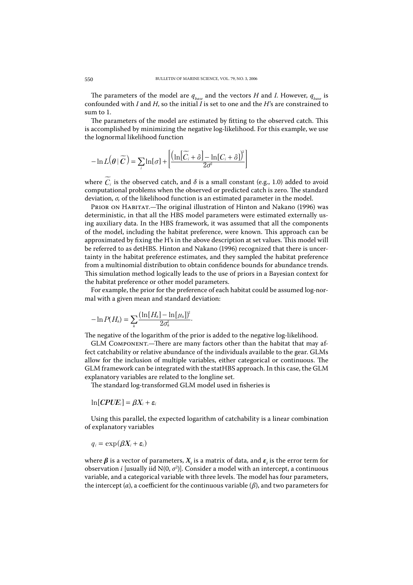The parameters of the model are  $q_{base}$  and the vectors H and I. However,  $q_{base}$  is confounded with I and H, so the initial I is set to one and the H's are constrained to sum to 1.

The parameters of the model are estimated by fitting to the observed catch. This is accomplished by minimizing the negative log-likelihood. For this example, we use the lognormal likelihood function

$$
-\ln L(\theta|\widetilde{C}) = \sum_{i} \ln[\sigma] + \left[ \frac{\left(\ln[\widetilde{C}_{i} + \delta] - \ln[C_{i} + \delta]\right)^{2}}{2\sigma^{2}} \right]
$$

where  $\widetilde{C}_i$  is the observed catch, and  $\delta$  is a small constant (e.g., 1.0) added to avoid computational problems when the observed or predicted catch is zero. The standard deviation,  $\sigma$ , of the likelihood function is an estimated parameter in the model.

PRIOR ON HABITAT.-The original illustration of Hinton and Nakano (1996) was deterministic, in that all the HBS model parameters were estimated externally using auxiliary data. In the HBS framework, it was assumed that all the components of the model, including the habitat preference, were known. This approach can be approximated by fixing the H's in the above description at set values. This model will be referred to as detHBS. Hinton and Nakano (1996) recognized that there is uncertainty in the habitat preference estimates, and they sampled the habitat preference from a multinomial distribution to obtain confidence bounds for abundance trends. This simulation method logically leads to the use of priors in a Bayesian context for the habitat preference or other model parameters.

For example, the prior for the preference of each habitat could be assumed log-normal with a given mean and standard deviation:

$$
-\ln P(H_{\scriptscriptstyle h})=\sum_{\scriptscriptstyle h}\frac{(\ln [H_{\scriptscriptstyle h}]-\ln[\mu_{\scriptscriptstyle h}])^{\scriptscriptstyle 2}}{2\sigma_{\scriptscriptstyle h}^{\scriptscriptstyle 2}}
$$

The negative of the logarithm of the prior is added to the negative log-likelihood.

GLM COMPONENT.-There are many factors other than the habitat that may affect catchability or relative abundance of the individuals available to the gear. GLMs allow for the inclusion of multiple variables, either categorical or continuous. The GLM framework can be integrated with the statHBS approach. In this case, the GLM explanatory variables are related to the longline set.

The standard log-transformed GLM model used in fisheries is

 $\ln [CPUE_i] = \beta X_i + \varepsilon_i$ 

Using this parallel, the expected logarithm of catchability is a linear combination of explanatory variables

$$
q_i = \exp(\beta X_i + \varepsilon_i)
$$

where  $\beta$  is a vector of parameters,  $X_i$  is a matrix of data, and  $\varepsilon$ , is the error term for observation *i* [usually iid N(0,  $\sigma^2$ )]. Consider a model with an intercept, a continuous variable, and a categorical variable with three levels. The model has four parameters, the intercept (*a*), a coefficient for the continuous variable ( $\beta$ ), and two parameters for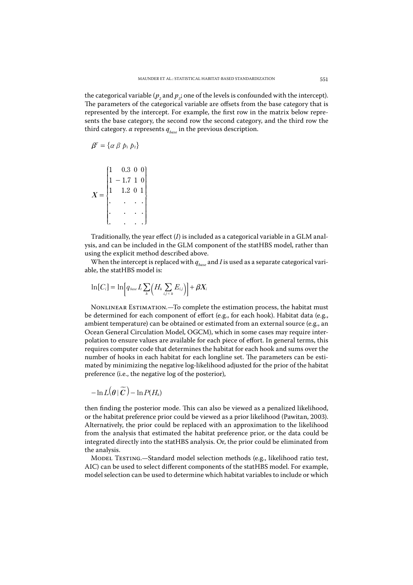the categorical variable ( $p_a$  and  $p_a$ ; one of the levels is confounded with the intercept). The parameters of the categorical variable are offsets from the base category that is represented by the intercept. For example, the first row in the matrix below represents the base category, the second row the second category, and the third row the third category.  $\alpha$  represents  $q_{base}$  in the previous description.

$$
\pmb{\beta}^{\!\scriptscriptstyle T}=\{\alpha\ \beta\ p_1\ p_2\}
$$

$$
X = \begin{bmatrix} 1 & 0.3 & 0 & 0 \\ 1 & -1.7 & 1 & 0 \\ 1 & 1.2 & 0 & 1 \\ . & . & . & . \\ . & . & . & . \\ . & . & . & . \end{bmatrix}
$$

Traditionally, the year effect  $(I)$  is included as a categorical variable in a GLM analysis, and can be included in the GLM component of the statHBS model, rather than using the explicit method described above.

When the intercept is replaced with  $q_{base}$  and I is used as a separate categorical variable, the statHBS model is:

$$
\ln[C_i] = \ln\Bigl[q_{\text{base}}I_t\sum_{k} \Bigl(H_k\sum_{i,j\,\in\,k}E_{i,j}\Bigr)\Bigr] + \beta X_i
$$

NONLINEAR ESTIMATION.-To complete the estimation process, the habitat must be determined for each component of effort (e.g., for each hook). Habitat data (e.g., ambient temperature) can be obtained or estimated from an external source (e.g., an Ocean General Circulation Model, OGCM), which in some cases may require interpolation to ensure values are available for each piece of effort. In general terms, this requires computer code that determines the habitat for each hook and sums over the number of hooks in each habitat for each longline set. The parameters can be estimated by minimizing the negative log-likelihood adjusted for the prior of the habitat preference (i.e., the negative log of the posterior),

$$
-\ln L(\theta|\,\widetilde{\bm{C}}\,)-\ln P(H_h)
$$

then finding the posterior mode. This can also be viewed as a penalized likelihood, or the habitat preference prior could be viewed as a prior likelihood (Pawitan, 2003). Alternatively, the prior could be replaced with an approximation to the likelihood from the analysis that estimated the habitat preference prior, or the data could be integrated directly into the statHBS analysis. Or, the prior could be eliminated from the analysis.

MODEL TESTING.-Standard model selection methods (e.g., likelihood ratio test, AIC) can be used to select different components of the statHBS model. For example, model selection can be used to determine which habitat variables to include or which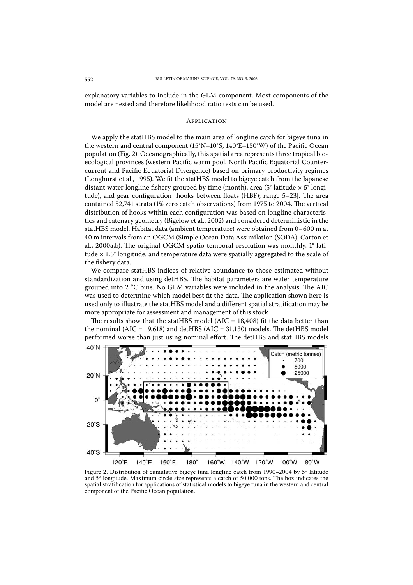explanatory variables to include in the GLM component. Most components of the model are nested and therefore likelihood ratio tests can be used.

# **APPLICATION**

We apply the statHBS model to the main area of longline catch for bigeye tuna in the western and central component (15°N-10°S, 140°E-150°W) of the Pacific Ocean population (Fig. 2). Oceanographically, this spatial area represents three tropical bioecological provinces (western Pacific warm pool, North Pacific Equatorial Countercurrent and Pacific Equatorial Divergence) based on primary productivity regimes (Longhurst et al., 1995). We fit the statHBS model to bigeye catch from the Japanese distant-water longline fishery grouped by time (month), area (5° latitude  $\times$  5° longitude), and gear configuration [hooks between floats (HBF); range 5-23]. The area contained 52,741 strata (1% zero catch observations) from 1975 to 2004. The vertical distribution of hooks within each configuration was based on longline characteristics and catenary geometry (Bigelow et al., 2002) and considered deterministic in the statHBS model. Habitat data (ambient temperature) were obtained from 0-600 m at 40 m intervals from an OGCM (Simple Ocean Data Assimilation (SODA), Carton et al., 2000a,b). The original OGCM spatio-temporal resolution was monthly,  $1^\circ$  latitude  $\times$  1.5° longitude, and temperature data were spatially aggregated to the scale of the fishery data.

We compare statHBS indices of relative abundance to those estimated without standardization and using detHBS. The habitat parameters are water temperature grouped into 2 °C bins. No GLM variables were included in the analysis. The AIC was used to determine which model best fit the data. The application shown here is used only to illustrate the statHBS model and a different spatial stratification may be more appropriate for assessment and management of this stock.

The results show that the statHBS model (AIC =  $18,408$ ) fit the data better than the nominal (AIC =  $19,618$ ) and detHBS (AIC = 31,130) models. The detHBS model performed worse than just using nominal effort. The detHBS and statHBS models



Figure 2. Distribution of cumulative bigeye tuna longline catch from 1990–2004 by  $5^\circ$  latitude and 5° longitude. Maximum circle size represents a catch of 50,000 tons. The box indicates the spatial stratification for applications of statistical models to bigeye tuna in the western and central component of the Pacific Ocean population.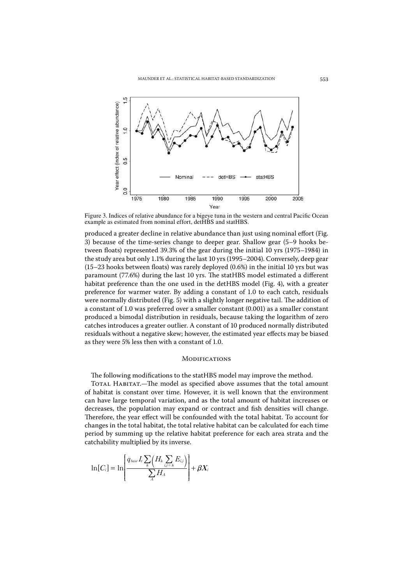

Figure 3. Indices of relative abundance for a bigeye tuna in the western and central Pacific Ocean example as estimated from nominal effort, detHBS and statHBS.

produced a greater decline in relative abundance than just using nominal effort (Fig. 3) because of the time-series change to deeper gear. Shallow gear (5–9 hooks between floats) represented 39.3% of the gear during the initial 10 yrs (1975–1984) in the study area but only 1.1% during the last 10 yrs (1995–2004). Conversely, deep gear  $(15-23$  hooks between floats) was rarely deployed  $(0.6%)$  in the initial 10 yrs but was paramount (77.6%) during the last 10 yrs. The statHBS model estimated a different habitat preference than the one used in the detHBS model (Fig. 4), with a greater preference for warmer water. By adding a constant of 1.0 to each catch, residuals were normally distributed (Fig. 5) with a slightly longer negative tail. The addition of a constant of 1.0 was preferred over a smaller constant (0.001) as a smaller constant produced a bimodal distribution in residuals, because taking the logarithm of zero catches introduces a greater outlier. A constant of 10 produced normally distributed residuals without a negative skew; however, the estimated year effects may be biased as they were 5% less then with a constant of 1.0.

## MODIFICATIONS

The following modifications to the statHBS model may improve the method.

TOTAL HABITAT.—The model as specified above assumes that the total amount of habitat is constant over time. However, it is well known that the environment can have large temporal variation, and as the total amount of habitat increases or decreases, the population may expand or contract and fish densities will change. Therefore, the year effect will be confounded with the total habitat. To account for changes in the total habitat, the total relative habitat can be calculated for each time period by summing up the relative habitat preference for each area strata and the catchability multiplied by its inverse.

$$
\ln[C_i] = \ln\left[\frac{q_{base I_t} \sum_{k} (H_k \sum_{i,j \in k} E_{i,j})}{\sum_{A} H_A}\right] + \beta X_i
$$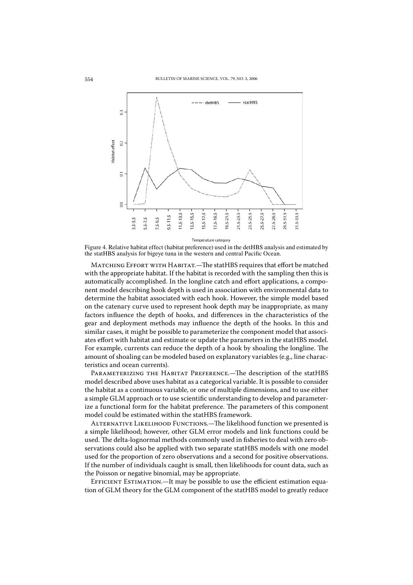

Figure 4. Relative habitat effect (habitat preference) used in the detHBS analysis and estimated by the statHBS analysis for bigeye tuna in the western and central Pacific Ocean.

MATCHING EFFORT WITH HABITAT.-The statHBS requires that effort be matched with the appropriate habitat. If the habitat is recorded with the sampling then this is automatically accomplished. In the longline catch and effort applications, a component model describing hook depth is used in association with environmental data to determine the habitat associated with each hook. However, the simple model based on the catenary curve used to represent hook depth may be inappropriate, as many factors influence the depth of hooks, and differences in the characteristics of the gear and deployment methods may influence the depth of the hooks. In this and similar cases, it might be possible to parameterize the component model that associates effort with habitat and estimate or update the parameters in the statHBS model. For example, currents can reduce the depth of a hook by shoaling the longline. The amount of shoaling can be modeled based on explanatory variables (e.g., line characteristics and ocean currents).

PARAMETERIZING THE HABITAT PREFERENCE.-The description of the statHBS model described above uses habitat as a categorical variable. It is possible to consider the habitat as a continuous variable, or one of multiple dimensions, and to use either a simple GLM approach or to use scientific understanding to develop and parameterize a functional form for the habitat preference. The parameters of this component model could be estimated within the statHBS framework.

ALTERNATIVE LIKELIHOOD FUNCTIONS.—The likelihood function we presented is a simple likelihood; however, other GLM error models and link functions could be used. The delta-lognormal methods commonly used in fisheries to deal with zero observations could also be applied with two separate statHBS models with one model used for the proportion of zero observations and a second for positive observations. If the number of individuals caught is small, then likelihoods for count data, such as the Poisson or negative binomial, may be appropriate.

EFFICIENT ESTIMATION.—It may be possible to use the efficient estimation equation of GLM theory for the GLM component of the statHBS model to greatly reduce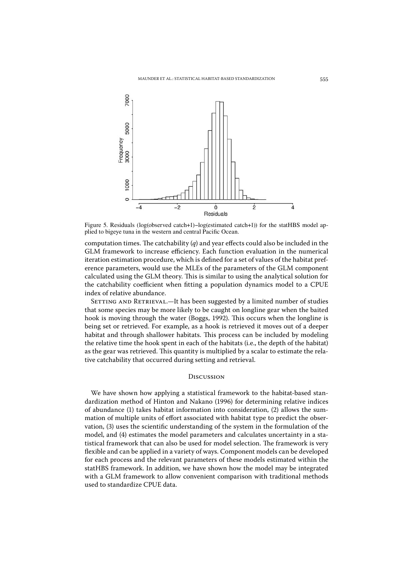

Figure 5. Residuals (log(observed catch+1)-log(estimated catch+1)) for the statHBS model applied to bigeye tuna in the western and central Pacific Ocean.

computation times. The catchability  $(q)$  and year effects could also be included in the GLM framework to increase efficiency. Each function evaluation in the numerical iteration estimation procedure, which is defined for a set of values of the habitat preference parameters, would use the MLEs of the parameters of the GLM component calculated using the GLM theory. This is similar to using the analytical solution for the catchability coefficient when fitting a population dynamics model to a CPUE index of relative abundance.

SETTING AND RETRIEVAL.-It has been suggested by a limited number of studies that some species may be more likely to be caught on longline gear when the baited hook is moving through the water (Boggs, 1992). This occurs when the longline is being set or retrieved. For example, as a hook is retrieved it moves out of a deeper habitat and through shallower habitats. This process can be included by modeling the relative time the hook spent in each of the habitats (i.e., the depth of the habitat) as the gear was retrieved. This quantity is multiplied by a scalar to estimate the relative catchability that occurred during setting and retrieval.

### **DISCUSSION**

We have shown how applying a statistical framework to the habitat-based standardization method of Hinton and Nakano (1996) for determining relative indices of abundance (1) takes habitat information into consideration, (2) allows the summation of multiple units of effort associated with habitat type to predict the observation, (3) uses the scientific understanding of the system in the formulation of the model, and (4) estimates the model parameters and calculates uncertainty in a statistical framework that can also be used for model selection. The framework is very flexible and can be applied in a variety of ways. Component models can be developed for each process and the relevant parameters of these models estimated within the statHBS framework. In addition, we have shown how the model may be integrated with a GLM framework to allow convenient comparison with traditional methods used to standardize CPUE data.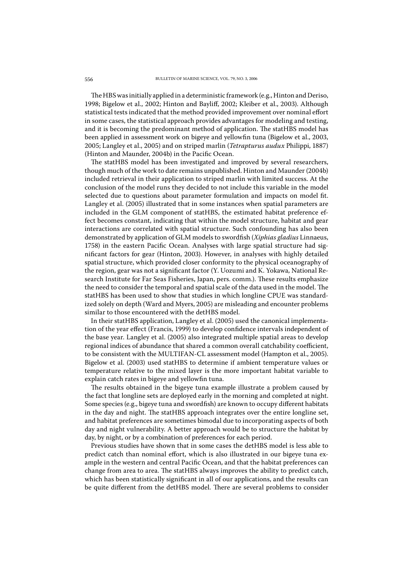The HBS was initially applied in a deterministic framework (e.g., Hinton and Deriso, 1998; Bigelow et al., 2002; Hinton and Bayliff, 2002; Kleiber et al., 2003). Although statistical tests indicated that the method provided improvement over nominal effort in some cases, the statistical approach provides advantages for modeling and testing, and it is becoming the predominant method of application. The statHBS model has been applied in assessment work on bigeye and yellowfin tuna (Bigelow et al., 2003, 2005; Langley et al., 2005) and on striped marlin (Tetrapturus audux Philippi, 1887) (Hinton and Maunder, 2004b) in the Pacific Ocean.

The statHBS model has been investigated and improved by several researchers, though much of the work to date remains unpublished. Hinton and Maunder (2004b) included retrieval in their application to striped marlin with limited success. At the conclusion of the model runs they decided to not include this variable in the model selected due to questions about parameter formulation and impacts on model fit. Langley et al. (2005) illustrated that in some instances when spatial parameters are included in the GLM component of statHBS, the estimated habitat preference effect becomes constant, indicating that within the model structure, habitat and gear interactions are correlated with spatial structure. Such confounding has also been demonstrated by application of GLM models to swordfish (Xiphias gladius Linnaeus, 1758) in the eastern Pacific Ocean. Analyses with large spatial structure had significant factors for gear (Hinton, 2003). However, in analyses with highly detailed spatial structure, which provided closer conformity to the physical oceanography of the region, gear was not a significant factor (Y. Uozumi and K. Yokawa, National Research Institute for Far Seas Fisheries, Japan, pers. comm.). These results emphasize the need to consider the temporal and spatial scale of the data used in the model. The statHBS has been used to show that studies in which longline CPUE was standardized solely on depth (Ward and Myers, 2005) are misleading and encounter problems similar to those encountered with the detHBS model.

In their statHBS application, Langley et al. (2005) used the canonical implementation of the year effect (Francis, 1999) to develop confidence intervals independent of the base year. Langley et al. (2005) also integrated multiple spatial areas to develop regional indices of abundance that shared a common overall catchability coefficient, to be consistent with the MULTIFAN-CL assessment model (Hampton et al., 2005). Bigelow et al. (2003) used statHBS to determine if ambient temperature values or temperature relative to the mixed layer is the more important habitat variable to explain catch rates in bigeye and yellowfin tuna.

The results obtained in the bigeye tuna example illustrate a problem caused by the fact that longline sets are deployed early in the morning and completed at night. Some species (e.g., bigeye tuna and swordfish) are known to occupy different habitats in the day and night. The statHBS approach integrates over the entire longline set, and habitat preferences are sometimes bimodal due to incorporating aspects of both day and night vulnerability. A better approach would be to structure the habitat by day, by night, or by a combination of preferences for each period.

Previous studies have shown that in some cases the detHBS model is less able to predict catch than nominal effort, which is also illustrated in our bigeye tuna example in the western and central Pacific Ocean, and that the habitat preferences can change from area to area. The statHBS always improves the ability to predict catch, which has been statistically significant in all of our applications, and the results can be quite different from the detHBS model. There are several problems to consider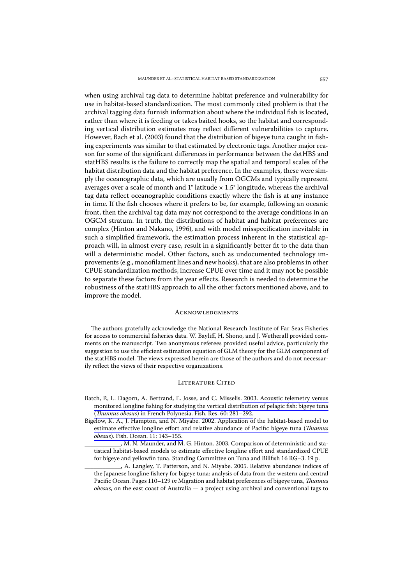when using archival tag data to determine habitat preference and vulnerability for use in habitat-based standardization. The most commonly cited problem is that the archival tagging data furnish information about where the individual fish is located, rather than where it is feeding or takes baited hooks, so the habitat and corresponding vertical distribution estimates may reflect different vulnerabilities to capture. However, Bach et al. (2003) found that the distribution of bigeye tuna caught in fishing experiments was similar to that estimated by electronic tags. Another major reason for some of the significant differences in performance between the detHBS and statHBS results is the failure to correctly map the spatial and temporal scales of the habitat distribution data and the habitat preference. In the examples, these were simply the oceanographic data, which are usually from OGCMs and typically represent averages over a scale of month and 1° latitude  $\times$  1.5° longitude, whereas the archival tag data reflect oceanographic conditions exactly where the fish is at any instance in time. If the fish chooses where it prefers to be, for example, following an oceanic front, then the archival tag data may not correspond to the average conditions in an OGCM stratum. In truth, the distributions of habitat and habitat preferences are complex (Hinton and Nakano, 1996), and with model misspecification inevitable in such a simplified framework, the estimation process inherent in the statistical approach will, in almost every case, result in a significantly better fit to the data than will a deterministic model. Other factors, such as undocumented technology improvements (e.g., monofilament lines and new hooks), that are also problems in other CPUE standardization methods, increase CPUE over time and it may not be possible to separate these factors from the year effects. Research is needed to determine the robustness of the statHBS approach to all the other factors mentioned above, and to improve the model.

#### **ACKNOWLEDGMENTS**

The authors gratefully acknowledge the National Research Institute of Far Seas Fisheries for access to commercial fisheries data. W. Bayliff, H. Shono, and J. Wetherall provided comments on the manuscript. Two anonymous referees provided useful advice, particularly the suggestion to use the efficient estimation equation of GLM theory for the GLM component of the statHBS model. The views expressed herein are those of the authors and do not necessarily reflect the views of their respective organizations.

#### **LITERATURE CITED**

- Batch, P., L. Dagorn, A. Bertrand, E. Josse, and C. Misselis. 2003. Acoustic telemetry versus monitored longline fishing for studying the vertical distribution of pelagic fish: bigeye tuna (Thunnus obesus) in French Polynesia. Fish. Res. 60: 281-292.
- Bigelow, K. A., J. Hampton, and N. Miyabe. 2002. Application of the habitat-based model to estimate effective longline effort and relative abundance of Pacific bigeye tuna (Thunnus obesus). Fish. Ocean. 11: 143-155.

J. M. N. Maunder, and M. G. Hinton. 2003. Comparison of deterministic and statistical habitat-based models to estimate effective longline effort and standardized CPUE for bigeye and yellowfin tuna. Standing Committee on Tuna and Billfish 16 RG-3. 19 p.

A. Langley, T. Patterson, and N. Miyabe. 2005. Relative abundance indices of the Japanese longline fishery for bigeye tuna: analysis of data from the western and central Pacific Ocean. Pages 110-129 in Migration and habitat preferences of bigeye tuna, Thunnus  $obsus$ , on the east coast of Australia  $-$  a project using archival and conventional tags to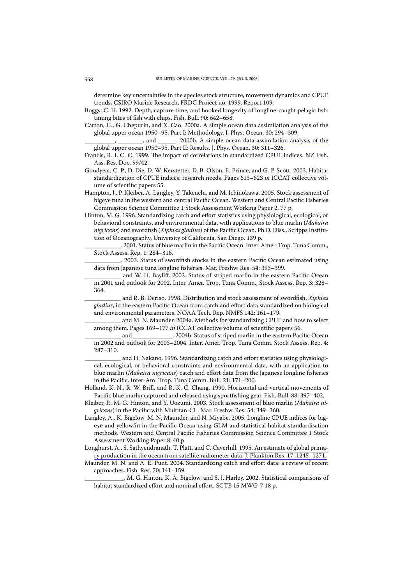determine key uncertainties in the species stock structure, movement dynamics and CPUE trends. CSIRO Marine Research, FRDC Project no. 1999. Report 109.

- Boggs, C. H. 1992. Depth, capture time, and hooked longevity of longline-caught pelagic fish: timing bites of fish with chips. Fish. Bull. 90: 642-658.
- Carton, H., G. Chepurin, and X. Cao. 2000a. A simple ocean data assimilation analysis of the global upper ocean 1950–95. Part I: Methodology. J. Phys. Ocean. 30: 294–309.

 $\frac{1}{1-\epsilon}$ , and  $\frac{1}{1-\epsilon}$ . 2000b. A simple ocean data assimilation analysis of the global upper ocean 1950-95. Part II: Results. J. Phys. Ocean. 30: 311-326.

- Francis, R. I. C. C. 1999. The impact of correlations in standardized CPUE indices. NZ Fish. Ass. Res. Doc. 99/42.
- Goodyear, C. P., D. Die, D. W. Kerstetter, D. B. Olson, E. Prince, and G. P. Scott. 2003. Habitat standardization of CPUE indices: research needs. Pages 613-623 in ICCAT collective volume of scientific papers 55.
- Hampton, J., P. Kleiber, A. Langley, Y. Takeuchi, and M. Ichinokawa. 2005. Stock assessment of bigeye tuna in the western and central Pacific Ocean. Western and Central Pacific Fisheries Commission Science Committee 1 Stock Assessment Working Paper 2.77 p.
- Hinton, M. G. 1996. Standardizing catch and effort statistics using physiological, ecological, or behavioral constraints, and environmental data, with applications to blue marlin (Makaira nigricans) and swordfish (Xiphias gladius) of the Pacific Ocean. Ph.D. Diss., Scripps Institution of Oceanography, University of California, San Diego. 139 p.

. 2001. Status of blue marlin in the Pacific Ocean. Inter. Amer. Trop. Tuna Comm., Stock Assess. Rep. 1: 284-316.

. 2003. Status of swordfish stocks in the eastern Pacific Ocean estimated using data from Japanese tuna longline fisheries. Mar. Freshw. Res. 54: 393-399.

and W. H. Bayliff. 2002. Status of striped marlin in the eastern Pacific Ocean in 2001 and outlook for 2002. Inter. Amer. Trop. Tuna Comm., Stock Assess. Rep. 3: 328-364

and R. B. Deriso. 1998. Distribution and stock assessment of swordfish, Xiphias gladius, in the eastern Pacific Ocean from catch and effort data standardized on biological and environmental parameters. NOAA Tech. Rep. NMFS 142: 161-179.

and M. N. Maunder. 2004a. Methods for standardizing CPUE and how to select among them. Pages 169-177 in ICCAT collective volume of scientific papers 56.

. 2004b. Status of striped marlin in the eastern Pacific Ocean and in 2002 and outlook for 2003-2004. Inter. Amer. Trop. Tuna Comm. Stock Assess. Rep. 4:  $287 - 310.$ 

and H. Nakano. 1996. Standardizing catch and effort statistics using physiological, ecological, or behavioral constraints and environmental data, with an application to blue marlin (Makaira nigricans) catch and effort data from the Japanese longline fisheries in the Pacific. Inter-Am. Trop. Tuna Comm. Bull. 21: 171-200.

- Holland, K. N., R. W. Brill, and R. K. C. Chang. 1990. Horizontal and vertical movements of Pacific blue marlin captured and released using sportfishing gear. Fish. Bull. 88: 397-402.
- Kleiber, P., M. G. Hinton, and Y. Uozumi. 2003. Stock assessment of blue marlin (Makaira nigricans) in the Pacific with Multifan-CL. Mar. Freshw. Res. 54: 349-360.
- Langley, A., K. Bigelow, M. N. Maunder, and N. Miyabe. 2005. Longline CPUE indices for bigeye and yellowfin in the Pacific Ocean using GLM and statistical habitat standardisation methods. Western and Central Pacific Fisheries Commission Science Committee 1 Stock Assessment Working Paper 8.40 p.
- Longhurst, A., S. Sathyendranath, T. Platt, and C. Caverhill. 1995. An estimate of global primary production in the ocean from satellite radiometer data. J. Plankton Res. 17: 1245-1271.
- Maunder, M. N. and A. E. Punt. 2004. Standardizing catch and effort data: a review of recent approaches. Fish. Res. 70: 141-159.

, M. G. Hinton, K. A. Bigelow, and S. J. Harley. 2002. Statistical comparisons of habitat standardized effort and nominal effort. SCTB 15 MWG-7 18 p.